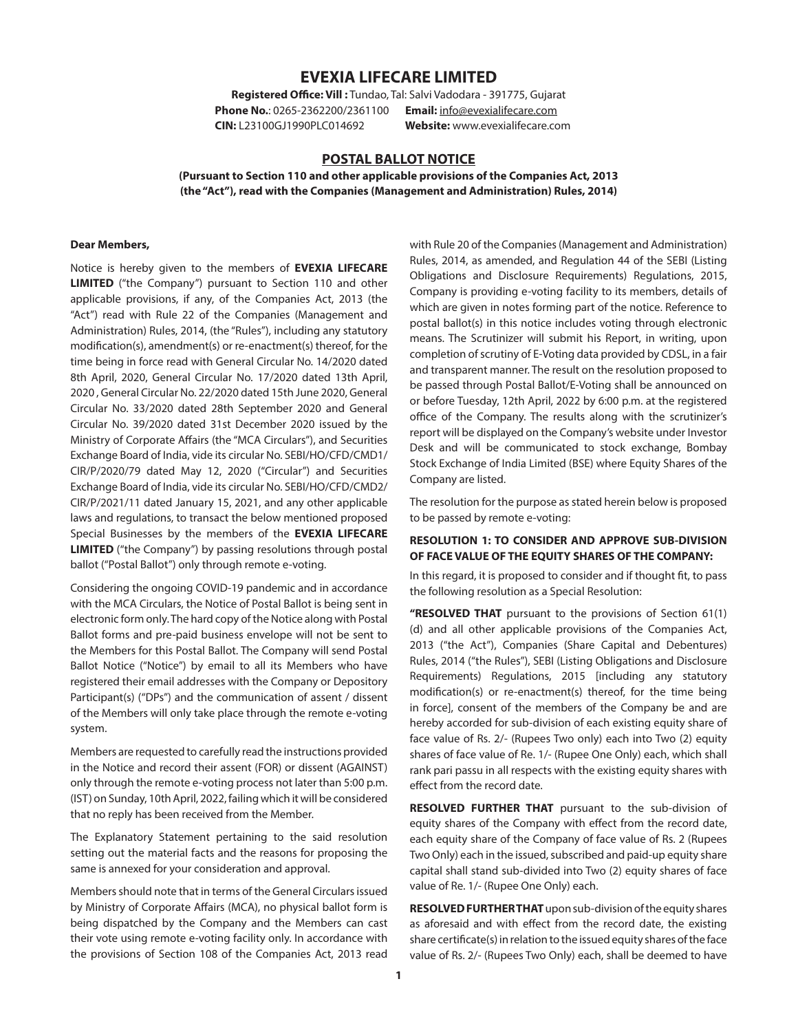# **EVEXIA LIFECARE LIMITED**

**Registered Office: Vill :** Tundao, Tal: Salvi Vadodara - 391775, Gujarat **Phone No.**: 0265-2362200/2361100 **Email:** [info@evexialifecare.com](mailto:info@evexialifecare.com) **CIN:** L23100GJ1990PLC014692 **Website:** www.evexialifecare.com

## **POSTAL BALLOT NOTICE**

**(Pursuant to Section 110 and other applicable provisions of the Companies Act, 2013 (the "Act"), read with the Companies (Management and Administration) Rules, 2014)**

#### **Dear Members,**

Notice is hereby given to the members of **EVEXIA LIFECARE LIMITED** ("the Company") pursuant to Section 110 and other applicable provisions, if any, of the Companies Act, 2013 (the "Act") read with Rule 22 of the Companies (Management and Administration) Rules, 2014, (the "Rules"), including any statutory modification(s), amendment(s) or re-enactment(s) thereof, for the time being in force read with General Circular No. 14/2020 dated 8th April, 2020, General Circular No. 17/2020 dated 13th April, 2020 , General Circular No. 22/2020 dated 15th June 2020, General Circular No. 33/2020 dated 28th September 2020 and General Circular No. 39/2020 dated 31st December 2020 issued by the Ministry of Corporate Affairs (the "MCA Circulars"), and Securities Exchange Board of India, vide its circular No. SEBI/HO/CFD/CMD1/ CIR/P/2020/79 dated May 12, 2020 ("Circular") and Securities Exchange Board of India, vide its circular No. SEBI/HO/CFD/CMD2/ CIR/P/2021/11 dated January 15, 2021, and any other applicable laws and regulations, to transact the below mentioned proposed Special Businesses by the members of the **EVEXIA LIFECARE LIMITED** ("the Company") by passing resolutions through postal ballot ("Postal Ballot") only through remote e-voting.

Considering the ongoing COVID-19 pandemic and in accordance with the MCA Circulars, the Notice of Postal Ballot is being sent in electronic form only. The hard copy of the Notice along with Postal Ballot forms and pre-paid business envelope will not be sent to the Members for this Postal Ballot. The Company will send Postal Ballot Notice ("Notice") by email to all its Members who have registered their email addresses with the Company or Depository Participant(s) ("DPs") and the communication of assent / dissent of the Members will only take place through the remote e-voting system.

Members are requested to carefully read the instructions provided in the Notice and record their assent (FOR) or dissent (AGAINST) only through the remote e-voting process not later than 5:00 p.m. (IST) on Sunday, 10th April, 2022, failing which it will be considered that no reply has been received from the Member.

The Explanatory Statement pertaining to the said resolution setting out the material facts and the reasons for proposing the same is annexed for your consideration and approval.

Members should note that in terms of the General Circulars issued by Ministry of Corporate Affairs (MCA), no physical ballot form is being dispatched by the Company and the Members can cast their vote using remote e-voting facility only. In accordance with the provisions of Section 108 of the Companies Act, 2013 read

with Rule 20 of the Companies (Management and Administration) Rules, 2014, as amended, and Regulation 44 of the SEBI (Listing Obligations and Disclosure Requirements) Regulations, 2015, Company is providing e-voting facility to its members, details of which are given in notes forming part of the notice. Reference to postal ballot(s) in this notice includes voting through electronic means. The Scrutinizer will submit his Report, in writing, upon completion of scrutiny of E-Voting data provided by CDSL, in a fair and transparent manner. The result on the resolution proposed to be passed through Postal Ballot/E-Voting shall be announced on or before Tuesday, 12th April, 2022 by 6:00 p.m. at the registered office of the Company. The results along with the scrutinizer's report will be displayed on the Company's website under Investor Desk and will be communicated to stock exchange, Bombay Stock Exchange of India Limited (BSE) where Equity Shares of the Company are listed.

The resolution for the purpose as stated herein below is proposed to be passed by remote e-voting:

### **RESOLUTION 1: TO CONSIDER AND APPROVE SUB-DIVISION OF FACE VALUE OF THE EQUITY SHARES OF THE COMPANY:**

In this regard, it is proposed to consider and if thought fit, to pass the following resolution as a Special Resolution:

**"RESOLVED THAT** pursuant to the provisions of Section 61(1) (d) and all other applicable provisions of the Companies Act, 2013 ("the Act"), Companies (Share Capital and Debentures) Rules, 2014 ("the Rules"), SEBI (Listing Obligations and Disclosure Requirements) Regulations, 2015 [including any statutory modification(s) or re-enactment(s) thereof, for the time being in force], consent of the members of the Company be and are hereby accorded for sub-division of each existing equity share of face value of Rs. 2/- (Rupees Two only) each into Two (2) equity shares of face value of Re. 1/- (Rupee One Only) each, which shall rank pari passu in all respects with the existing equity shares with effect from the record date.

**RESOLVED FURTHER THAT** pursuant to the sub-division of equity shares of the Company with effect from the record date, each equity share of the Company of face value of Rs. 2 (Rupees Two Only) each in the issued, subscribed and paid-up equity share capital shall stand sub-divided into Two (2) equity shares of face value of Re. 1/- (Rupee One Only) each.

**RESOLVED FURTHER THAT** upon sub-division of the equity shares as aforesaid and with effect from the record date, the existing share certificate(s) in relation to the issued equity shares of the face value of Rs. 2/- (Rupees Two Only) each, shall be deemed to have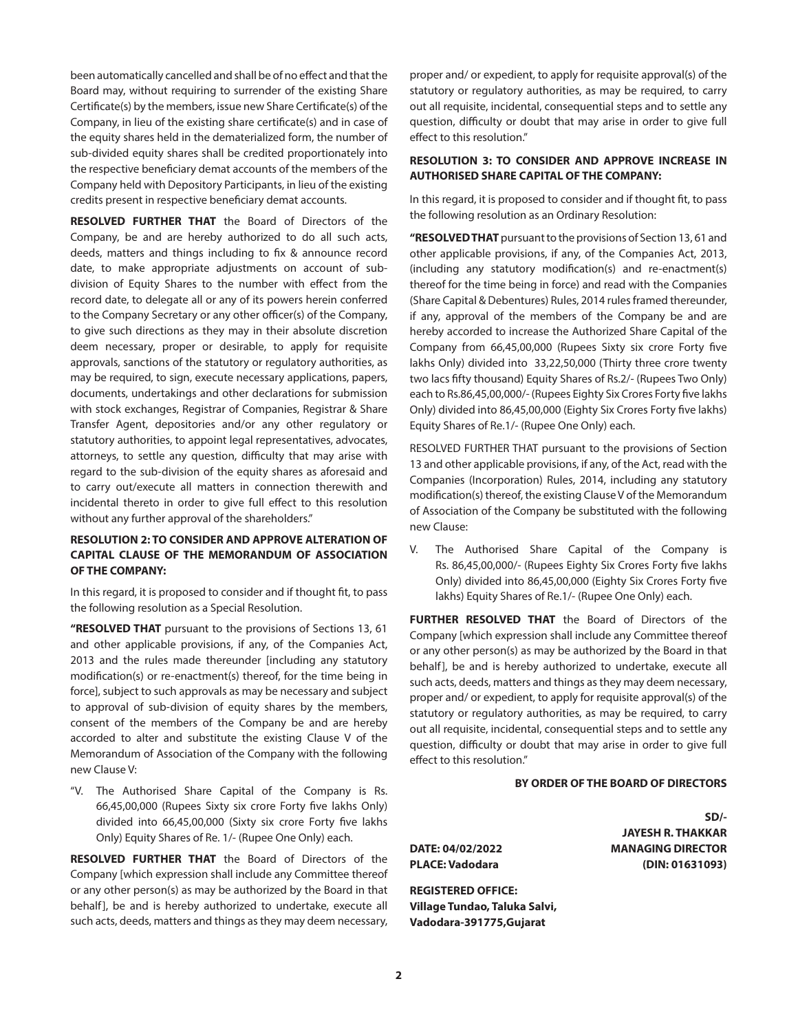been automatically cancelled and shall be of no effect and that the Board may, without requiring to surrender of the existing Share Certificate(s) by the members, issue new Share Certificate(s) of the Company, in lieu of the existing share certificate(s) and in case of the equity shares held in the dematerialized form, the number of sub-divided equity shares shall be credited proportionately into the respective beneficiary demat accounts of the members of the Company held with Depository Participants, in lieu of the existing credits present in respective beneficiary demat accounts.

**RESOLVED FURTHER THAT** the Board of Directors of the Company, be and are hereby authorized to do all such acts, deeds, matters and things including to fix & announce record date, to make appropriate adjustments on account of subdivision of Equity Shares to the number with effect from the record date, to delegate all or any of its powers herein conferred to the Company Secretary or any other officer(s) of the Company, to give such directions as they may in their absolute discretion deem necessary, proper or desirable, to apply for requisite approvals, sanctions of the statutory or regulatory authorities, as may be required, to sign, execute necessary applications, papers, documents, undertakings and other declarations for submission with stock exchanges, Registrar of Companies, Registrar & Share Transfer Agent, depositories and/or any other regulatory or statutory authorities, to appoint legal representatives, advocates, attorneys, to settle any question, difficulty that may arise with regard to the sub-division of the equity shares as aforesaid and to carry out/execute all matters in connection therewith and incidental thereto in order to give full effect to this resolution without any further approval of the shareholders."

## **RESOLUTION 2: TO CONSIDER AND APPROVE ALTERATION OF CAPITAL CLAUSE OF THE MEMORANDUM OF ASSOCIATION OF THE COMPANY:**

In this regard, it is proposed to consider and if thought fit, to pass the following resolution as a Special Resolution.

**"RESOLVED THAT** pursuant to the provisions of Sections 13, 61 and other applicable provisions, if any, of the Companies Act, 2013 and the rules made thereunder [including any statutory modification(s) or re-enactment(s) thereof, for the time being in force], subject to such approvals as may be necessary and subject to approval of sub-division of equity shares by the members, consent of the members of the Company be and are hereby accorded to alter and substitute the existing Clause V of the Memorandum of Association of the Company with the following new Clause V:

"V. The Authorised Share Capital of the Company is Rs. 66,45,00,000 (Rupees Sixty six crore Forty five lakhs Only) divided into 66,45,00,000 (Sixty six crore Forty five lakhs Only) Equity Shares of Re. 1/- (Rupee One Only) each.

**RESOLVED FURTHER THAT** the Board of Directors of the Company [which expression shall include any Committee thereof or any other person(s) as may be authorized by the Board in that behalf], be and is hereby authorized to undertake, execute all such acts, deeds, matters and things as they may deem necessary,

proper and/ or expedient, to apply for requisite approval(s) of the statutory or regulatory authorities, as may be required, to carry out all requisite, incidental, consequential steps and to settle any question, difficulty or doubt that may arise in order to give full effect to this resolution."

### **RESOLUTION 3: TO CONSIDER AND APPROVE INCREASE IN AUTHORISED SHARE CAPITAL OF THE COMPANY:**

In this regard, it is proposed to consider and if thought fit, to pass the following resolution as an Ordinary Resolution:

**"RESOLVED THAT** pursuant to the provisions of Section 13, 61 and other applicable provisions, if any, of the Companies Act, 2013, (including any statutory modification(s) and re-enactment(s) thereof for the time being in force) and read with the Companies (Share Capital & Debentures) Rules, 2014 rules framed thereunder, if any, approval of the members of the Company be and are hereby accorded to increase the Authorized Share Capital of the Company from 66,45,00,000 (Rupees Sixty six crore Forty five lakhs Only) divided into 33,22,50,000 (Thirty three crore twenty two lacs fifty thousand) Equity Shares of Rs.2/‐ (Rupees Two Only) each to Rs.86,45,00,000/- (Rupees Eighty Six Crores Forty five lakhs Only) divided into 86,45,00,000 (Eighty Six Crores Forty five lakhs) Equity Shares of Re.1/‐ (Rupee One Only) each.

RESOLVED FURTHER THAT pursuant to the provisions of Section 13 and other applicable provisions, if any, of the Act, read with the Companies (Incorporation) Rules, 2014, including any statutory modification(s) thereof, the existing Clause V of the Memorandum of Association of the Company be substituted with the following new Clause:

V. The Authorised Share Capital of the Company is Rs. 86,45,00,000/- (Rupees Eighty Six Crores Forty five lakhs Only) divided into 86,45,00,000 (Eighty Six Crores Forty five lakhs) Equity Shares of Re.1/‐ (Rupee One Only) each.

**FURTHER RESOLVED THAT** the Board of Directors of the Company [which expression shall include any Committee thereof or any other person(s) as may be authorized by the Board in that behalf], be and is hereby authorized to undertake, execute all such acts, deeds, matters and things as they may deem necessary, proper and/ or expedient, to apply for requisite approval(s) of the statutory or regulatory authorities, as may be required, to carry out all requisite, incidental, consequential steps and to settle any question, difficulty or doubt that may arise in order to give full effect to this resolution."

#### **BY ORDER OF THE BOARD OF DIRECTORS**

**SD/- JAYESH R. THAKKAR DATE: 04/02/2022 MANAGING DIRECTOR PLACE: Vadodara (DIN: 01631093)**

**REGISTERED OFFICE: Village Tundao, Taluka Salvi, Vadodara-391775,Gujarat**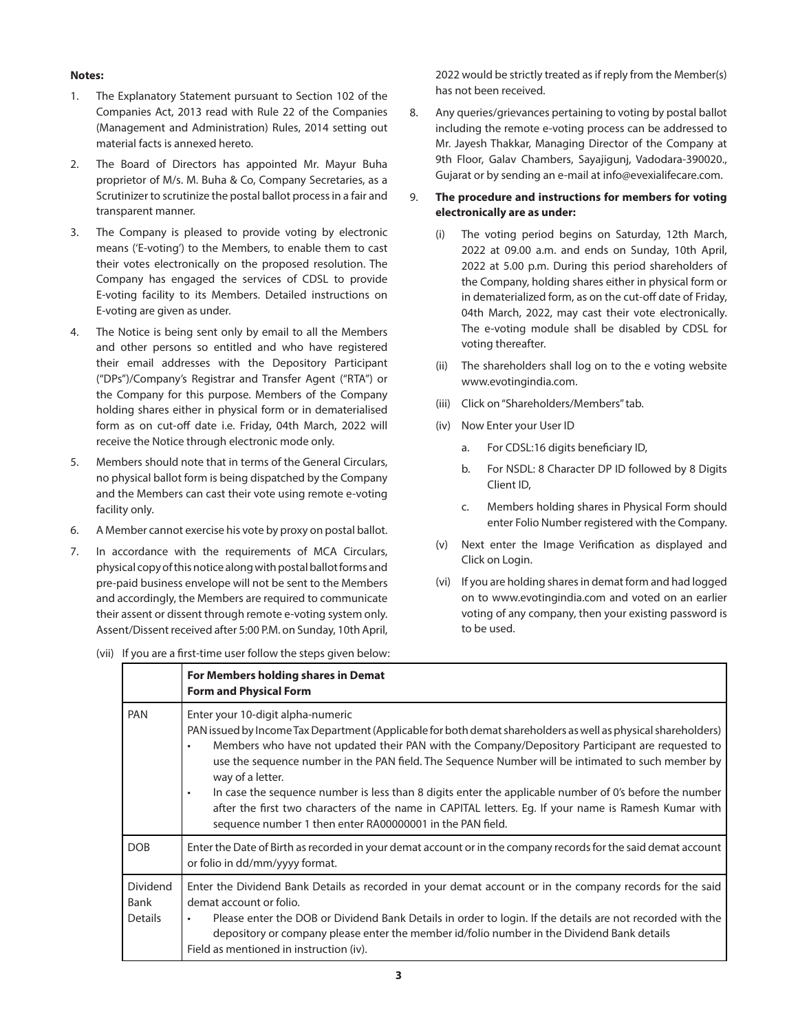### **Notes:**

- 1. The Explanatory Statement pursuant to Section 102 of the Companies Act, 2013 read with Rule 22 of the Companies (Management and Administration) Rules, 2014 setting out material facts is annexed hereto.
- 2. The Board of Directors has appointed Mr. Mayur Buha proprietor of M/s. M. Buha & Co, Company Secretaries, as a Scrutinizer to scrutinize the postal ballot process in a fair and transparent manner.
- 3. The Company is pleased to provide voting by electronic means ('E-voting') to the Members, to enable them to cast their votes electronically on the proposed resolution. The Company has engaged the services of CDSL to provide E-voting facility to its Members. Detailed instructions on E-voting are given as under.
- 4. The Notice is being sent only by email to all the Members and other persons so entitled and who have registered their email addresses with the Depository Participant ("DPs")/Company's Registrar and Transfer Agent ("RTA") or the Company for this purpose. Members of the Company holding shares either in physical form or in dematerialised form as on cut-off date i.e. Friday, 04th March, 2022 will receive the Notice through electronic mode only.
- 5. Members should note that in terms of the General Circulars, no physical ballot form is being dispatched by the Company and the Members can cast their vote using remote e-voting facility only.
- 6. A Member cannot exercise his vote by proxy on postal ballot.
- 7. In accordance with the requirements of MCA Circulars, physical copy of this notice along with postal ballot forms and pre-paid business envelope will not be sent to the Members and accordingly, the Members are required to communicate their assent or dissent through remote e-voting system only. Assent/Dissent received after 5:00 P.M. on Sunday, 10th April,
	- (vii) If you are a first-time user follow the steps given below:

2022 would be strictly treated as if reply from the Member(s) has not been received.

8. Any queries/grievances pertaining to voting by postal ballot including the remote e-voting process can be addressed to Mr. Jayesh Thakkar, Managing Director of the Company at 9th Floor, Galav Chambers, Sayajigunj, Vadodara-390020., Gujarat or by sending an e-mail at info@evexialifecare.com.

## 9. **The procedure and instructions for members for voting electronically are as under:**

- (i) The voting period begins on Saturday, 12th March, 2022 at 09.00 a.m. and ends on Sunday, 10th April, 2022 at 5.00 p.m. During this period shareholders of the Company, holding shares either in physical form or in dematerialized form, as on the cut-off date of Friday, 04th March, 2022, may cast their vote electronically. The e-voting module shall be disabled by CDSL for voting thereafter.
- (ii) The shareholders shall log on to the e voting website [www.evotingindia.com](http://www.evotingindia.com/).
- (iii) Click on "Shareholders/Members" tab.
- (iv) Now Enter your User ID
	- a. For CDSL:16 digits beneficiary ID,
	- b. For NSDL: 8 Character DP ID followed by 8 Digits Client ID,
	- c. Members holding shares in Physical Form should enter Folio Number registered with the Company.
- (v) Next enter the Image Verification as displayed and Click on Login.
- (vi) If you are holding shares in demat form and had logged on to [www.evotingindia.com](http://www.evotingindia.com/) and voted on an earlier voting of any company, then your existing password is to be used.

|                                           | For Members holding shares in Demat<br><b>Form and Physical Form</b>                                                                                                                                                                                                                                                                                                                                                                                                                                                                                                                                                                                                       |
|-------------------------------------------|----------------------------------------------------------------------------------------------------------------------------------------------------------------------------------------------------------------------------------------------------------------------------------------------------------------------------------------------------------------------------------------------------------------------------------------------------------------------------------------------------------------------------------------------------------------------------------------------------------------------------------------------------------------------------|
| <b>PAN</b>                                | Enter your 10-digit alpha-numeric<br>PAN issued by Income Tax Department (Applicable for both demat shareholders as well as physical shareholders)<br>Members who have not updated their PAN with the Company/Depository Participant are requested to<br>use the sequence number in the PAN field. The Sequence Number will be intimated to such member by<br>way of a letter.<br>In case the sequence number is less than 8 digits enter the applicable number of 0's before the number<br>$\bullet$<br>after the first two characters of the name in CAPITAL letters. Eg. If your name is Ramesh Kumar with<br>sequence number 1 then enter RA00000001 in the PAN field. |
| <b>DOB</b>                                | Enter the Date of Birth as recorded in your demat account or in the company records for the said demat account<br>or folio in dd/mm/yyyy format.                                                                                                                                                                                                                                                                                                                                                                                                                                                                                                                           |
| <b>Dividend</b><br>Bank<br><b>Details</b> | Enter the Dividend Bank Details as recorded in your demat account or in the company records for the said<br>demat account or folio.<br>Please enter the DOB or Dividend Bank Details in order to login. If the details are not recorded with the<br>$\bullet$<br>depository or company please enter the member id/folio number in the Dividend Bank details<br>Field as mentioned in instruction (iv).                                                                                                                                                                                                                                                                     |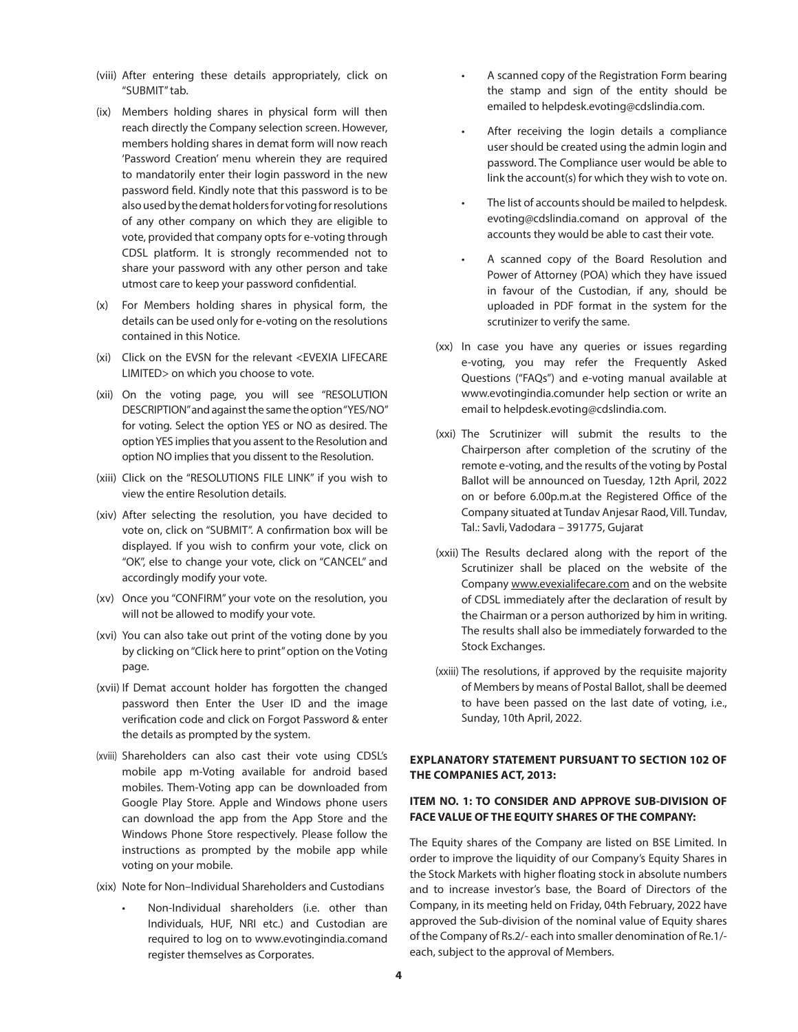- (viii) After entering these details appropriately, click on "SUBMIT" tab.
- (ix) Members holding shares in physical form will then reach directly the Company selection screen. However, members holding shares in demat form will now reach 'Password Creation' menu wherein they are required to mandatorily enter their login password in the new password field. Kindly note that this password is to be also used by the demat holders for voting for resolutions of any other company on which they are eligible to vote, provided that company opts for e-voting through CDSL platform. It is strongly recommended not to share your password with any other person and take utmost care to keep your password confidential.
- (x) For Members holding shares in physical form, the details can be used only for e-voting on the resolutions contained in this Notice.
- (xi) Click on the EVSN for the relevant <EVEXIA LIFECARE LIMITED> on which you choose to vote.
- (xii) On the voting page, you will see "RESOLUTION DESCRIPTION" and against the same the option "YES/NO" for voting. Select the option YES or NO as desired. The option YES implies that you assent to the Resolution and option NO implies that you dissent to the Resolution.
- (xiii) Click on the "RESOLUTIONS FILE LINK" if you wish to view the entire Resolution details.
- (xiv) After selecting the resolution, you have decided to vote on, click on "SUBMIT". A confirmation box will be displayed. If you wish to confirm your vote, click on "OK", else to change your vote, click on "CANCEL" and accordingly modify your vote.
- (xv) Once you "CONFIRM" your vote on the resolution, you will not be allowed to modify your vote.
- (xvi) You can also take out print of the voting done by you by clicking on "Click here to print" option on the Voting page.
- (xvii) If Demat account holder has forgotten the changed password then Enter the User ID and the image verification code and click on Forgot Password & enter the details as prompted by the system.
- (xviii) Shareholders can also cast their vote using CDSL's mobile app m-Voting available for android based mobiles. Them-Voting app can be downloaded from Google Play Store. Apple and Windows phone users can download the app from the App Store and the Windows Phone Store respectively. Please follow the instructions as prompted by the mobile app while voting on your mobile.
- (xix) Note for Non–Individual Shareholders and Custodians
	- Non-Individual shareholders (i.e. other than Individuals, HUF, NRI etc.) and Custodian are required to log on to [www.evotingindia.com](http://www.evotingindia.com/)and register themselves as Corporates.
- A scanned copy of the Registration Form bearing the stamp and sign of the entity should be emailed to [helpdesk.evoting@cdslindia.com](mailto:helpdesk.evoting@cdslindia.com).
- After receiving the login details a compliance user should be created using the admin login and password. The Compliance user would be able to link the account(s) for which they wish to vote on.
- The list of accounts should be mailed to [helpdesk.](mailto:helpdesk.evoting@cdslindia.com) [evoting@cdslindia.com](mailto:helpdesk.evoting@cdslindia.com)and on approval of the accounts they would be able to cast their vote.
- A scanned copy of the Board Resolution and Power of Attorney (POA) which they have issued in favour of the Custodian, if any, should be uploaded in PDF format in the system for the scrutinizer to verify the same.
- (xx) In case you have any queries or issues regarding e-voting, you may refer the Frequently Asked Questions ("FAQs") and e-voting manual available at [www.evotingindia.com](http://www.evotingindia.com/)under help section or write an email to [helpdesk.evoting@cdslindia.com.](mailto:helpdesk.evoting@cdslindia.com)
- (xxi) The Scrutinizer will submit the results to the Chairperson after completion of the scrutiny of the remote e-voting, and the results of the voting by Postal Ballot will be announced on Tuesday, 12th April, 2022 on or before 6.00p.m.at the Registered Office of the Company situated at Tundav Anjesar Raod, Vill. Tundav, Tal.: Savli, Vadodara – 391775, Gujarat
- (xxii) The Results declared along with the report of the Scrutinizer shall be placed on the website of the Company [www.evexialifecare.com](http://www.evexialifecare.com) and on the website of CDSL immediately after the declaration of result by the Chairman or a person authorized by him in writing. The results shall also be immediately forwarded to the Stock Exchanges.
- (xxiii) The resolutions, if approved by the requisite majority of Members by means of Postal Ballot, shall be deemed to have been passed on the last date of voting, i.e., Sunday, 10th April, 2022.

### **EXPLANATORY STATEMENT PURSUANT TO SECTION 102 OF THE COMPANIES ACT, 2013:**

### **ITEM NO. 1: TO CONSIDER AND APPROVE SUB-DIVISION OF FACE VALUE OF THE EQUITY SHARES OF THE COMPANY:**

The Equity shares of the Company are listed on BSE Limited. In order to improve the liquidity of our Company's Equity Shares in the Stock Markets with higher floating stock in absolute numbers and to increase investor's base, the Board of Directors of the Company, in its meeting held on Friday, 04th February, 2022 have approved the Sub-division of the nominal value of Equity shares of the Company of Rs.2/- each into smaller denomination of Re.1/ each, subject to the approval of Members.